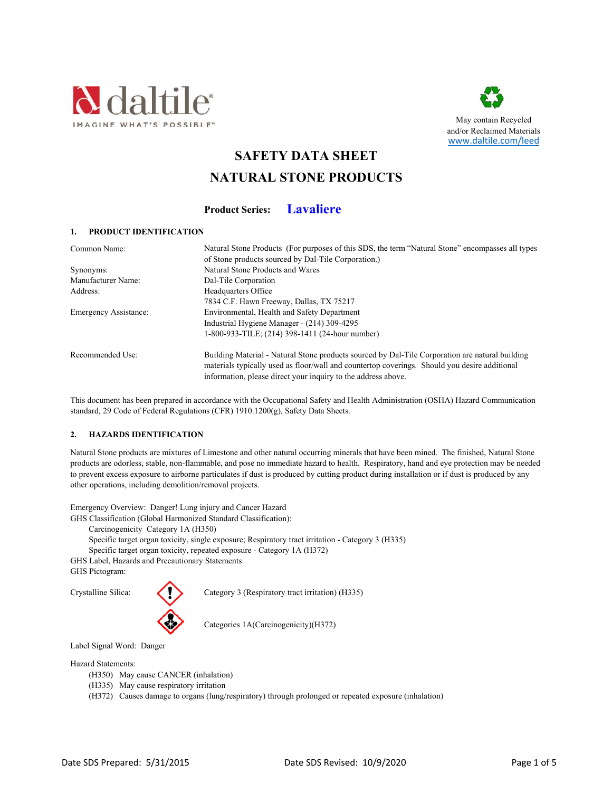



**SAFETY DATA SHEET**

# **NATURAL STONE PRODUCTS**

**Product Series: Lavaliere**

# **1. PRODUCT IDENTIFICATION**

| Common Name:                 | Natural Stone Products (For purposes of this SDS, the term "Natural Stone" encompasses all types |
|------------------------------|--------------------------------------------------------------------------------------------------|
|                              | of Stone products sourced by Dal-Tile Corporation.)                                              |
| Synonyms:                    | Natural Stone Products and Wares                                                                 |
| Manufacturer Name:           | Dal-Tile Corporation                                                                             |
| Address:                     | Headquarters Office                                                                              |
|                              | 7834 C.F. Hawn Freeway, Dallas, TX 75217                                                         |
| <b>Emergency Assistance:</b> | Environmental, Health and Safety Department                                                      |
|                              | Industrial Hygiene Manager - (214) 309-4295                                                      |
|                              | 1-800-933-TILE; (214) 398-1411 (24-hour number)                                                  |
| Recommended Use:             | Building Material - Natural Stone products sourced by Dal-Tile Corporation are natural building  |
|                              | materials typically used as floor/wall and countertop coverings. Should you desire additional    |
|                              | information, please direct your inquiry to the address above.                                    |

This document has been prepared in accordance with the Occupational Safety and Health Administration (OSHA) Hazard Communication standard, 29 Code of Federal Regulations (CFR) 1910.1200(g), Safety Data Sheets.

# **2. HAZARDS IDENTIFICATION**

Natural Stone products are mixtures of Limestone and other natural occurring minerals that have been mined. The finished, Natural Stone products are odorless, stable, non-flammable, and pose no immediate hazard to health. Respiratory, hand and eye protection may be needed to prevent excess exposure to airborne particulates if dust is produced by cutting product during installation or if dust is produced by any other operations, including demolition/removal projects.

Emergency Overview: Danger! Lung injury and Cancer Hazard

GHS Classification (Global Harmonized Standard Classification):

Carcinogenicity Category 1A (H350)

Specific target organ toxicity, single exposure; Respiratory tract irritation - Category 3 (H335)

Specific target organ toxicity, repeated exposure - Category 1A (H372)

GHS Label, Hazards and Precautionary Statements

GHS Pictogram:

Crystalline Silica: Crystalline Silica: Category 3 (Respiratory tract irritation) (H335)

Categories 1A(Carcinogenicity)(H372)

Label Signal Word: Danger

Hazard Statements:

- (H350) May cause CANCER (inhalation)
- (H335) May cause respiratory irritation
- (H372) Causes damage to organs (lung/respiratory) through prolonged or repeated exposure (inhalation)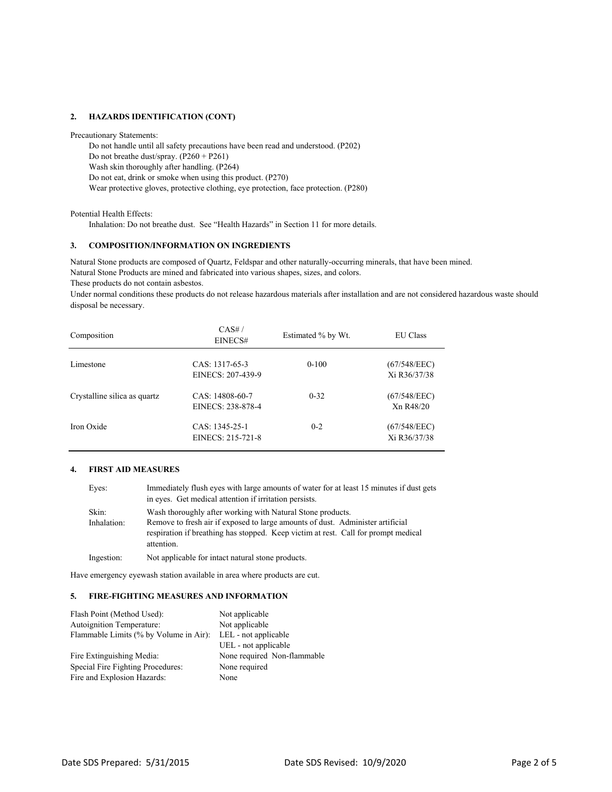# **2. HAZARDS IDENTIFICATION (CONT)**

Precautionary Statements:

Do not handle until all safety precautions have been read and understood. (P202) Do not breathe dust/spray. (P260 + P261) Wash skin thoroughly after handling. (P264) Do not eat, drink or smoke when using this product. (P270) Wear protective gloves, protective clothing, eye protection, face protection. (P280)

Potential Health Effects:

Inhalation: Do not breathe dust. See "Health Hazards" in Section 11 for more details.

# **3. COMPOSITION/INFORMATION ON INGREDIENTS**

Natural Stone Products are mined and fabricated into various shapes, sizes, and colors. Natural Stone products are composed of Quartz, Feldspar and other naturally-occurring minerals, that have been mined.

These products do not contain asbestos.

Under normal conditions these products do not release hazardous materials after installation and are not considered hazardous waste should disposal be necessary.

| Composition                  | CAS#/<br>EINECS#                     | Estimated % by Wt. | <b>EU</b> Class              |
|------------------------------|--------------------------------------|--------------------|------------------------------|
| Limestone                    | CAS: 1317-65-3<br>EINECS: 207-439-9  | $0-100$            | (67/548/EEC)<br>Xi R36/37/38 |
| Crystalline silica as quartz | CAS: 14808-60-7<br>EINECS: 238-878-4 | $0 - 32$           | (67/548/EEC)<br>Xn R48/20    |
| Iron Oxide                   | CAS: 1345-25-1<br>EINECS: 215-721-8  | $0 - 2$            | (67/548/EEC)<br>Xi R36/37/38 |

## **4. FIRST AID MEASURES**

| Eyes:                | Immediately flush eyes with large amounts of water for at least 15 minutes if dust gets<br>in eyes. Get medical attention if irritation persists.                                                                                                |
|----------------------|--------------------------------------------------------------------------------------------------------------------------------------------------------------------------------------------------------------------------------------------------|
| Skin:<br>Inhalation: | Wash thoroughly after working with Natural Stone products.<br>Remove to fresh air if exposed to large amounts of dust. Administer artificial<br>respiration if breathing has stopped. Keep victim at rest. Call for prompt medical<br>attention. |
| Ingestion:           | Not applicable for intact natural stone products.                                                                                                                                                                                                |

Have emergency eyewash station available in area where products are cut.

## **5. FIRE-FIGHTING MEASURES AND INFORMATION**

| Flash Point (Method Used):             | Not applicable              |
|----------------------------------------|-----------------------------|
| Autoignition Temperature:              | Not applicable              |
| Flammable Limits (% by Volume in Air): | LEL - not applicable        |
|                                        | UEL - not applicable        |
| Fire Extinguishing Media:              | None required Non-flammable |
| Special Fire Fighting Procedures:      | None required               |
| Fire and Explosion Hazards:            | None                        |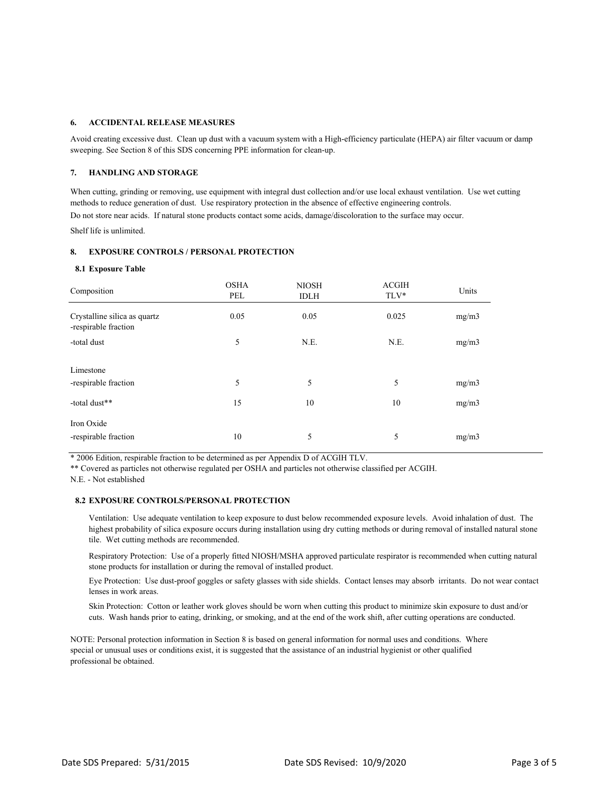## **6. ACCIDENTAL RELEASE MEASURES**

Avoid creating excessive dust. Clean up dust with a vacuum system with a High-efficiency particulate (HEPA) air filter vacuum or damp sweeping. See Section 8 of this SDS concerning PPE information for clean-up.

## **7. HANDLING AND STORAGE**

When cutting, grinding or removing, use equipment with integral dust collection and/or use local exhaust ventilation. Use wet cutting methods to reduce generation of dust. Use respiratory protection in the absence of effective engineering controls.

Do not store near acids. If natural stone products contact some acids, damage/discoloration to the surface may occur.

Shelf life is unlimited.

## **8. EXPOSURE CONTROLS / PERSONAL PROTECTION**

#### **8.1 Exposure Table**

| Composition                                          | <b>OSHA</b><br>PEL | <b>NIOSH</b><br><b>IDLH</b> | <b>ACGIH</b><br>$TLV^*$ | Units          |
|------------------------------------------------------|--------------------|-----------------------------|-------------------------|----------------|
| Crystalline silica as quartz<br>-respirable fraction | 0.05               | 0.05                        | 0.025                   | mg/m3          |
| -total dust                                          | 5                  | N.E.                        | N.E.                    | mg/m3          |
| Limestone<br>-respirable fraction<br>-total dust**   | 5<br>15            | 5<br>10                     | 5<br>10                 | mg/m3<br>mg/m3 |
| Iron Oxide<br>-respirable fraction                   | 10                 | 5                           | 5                       | mg/m3          |

\* 2006 Edition, respirable fraction to be determined as per Appendix D of ACGIH TLV.

\*\* Covered as particles not otherwise regulated per OSHA and particles not otherwise classified per ACGIH.

N.E. - Not established

# **8.2 EXPOSURE CONTROLS/PERSONAL PROTECTION**

Ventilation: Use adequate ventilation to keep exposure to dust below recommended exposure levels. Avoid inhalation of dust. The highest probability of silica exposure occurs during installation using dry cutting methods or during removal of installed natural stone tile. Wet cutting methods are recommended.

Respiratory Protection: Use of a properly fitted NIOSH/MSHA approved particulate respirator is recommended when cutting natural stone products for installation or during the removal of installed product.

Eye Protection: Use dust-proof goggles or safety glasses with side shields. Contact lenses may absorb irritants. Do not wear contact lenses in work areas.

Skin Protection: Cotton or leather work gloves should be worn when cutting this product to minimize skin exposure to dust and/or cuts. Wash hands prior to eating, drinking, or smoking, and at the end of the work shift, after cutting operations are conducted.

NOTE: Personal protection information in Section 8 is based on general information for normal uses and conditions. Where special or unusual uses or conditions exist, it is suggested that the assistance of an industrial hygienist or other qualified professional be obtained.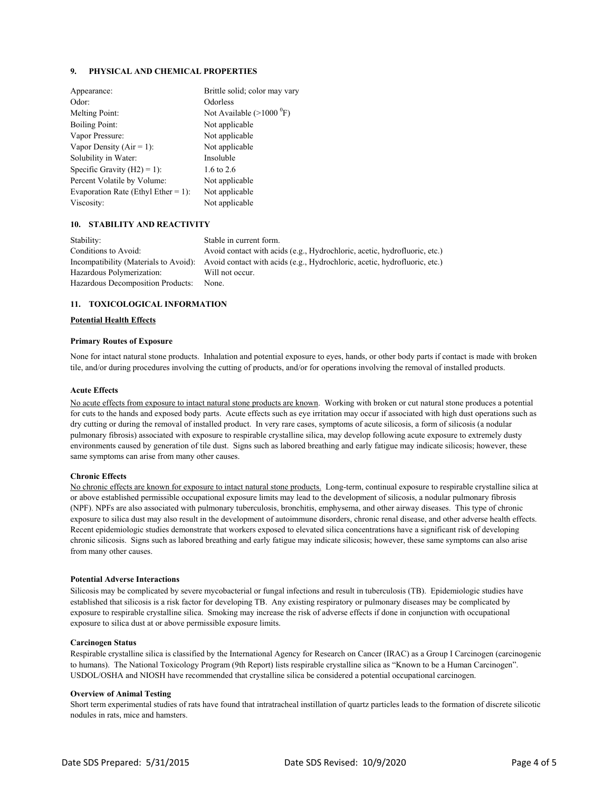# **9. PHYSICAL AND CHEMICAL PROPERTIES**

| Appearance:                         | Brittle solid; color may vary     |
|-------------------------------------|-----------------------------------|
| Odor:                               | Odorless                          |
| Melting Point:                      | Not Available $(>1000 \degree F)$ |
| <b>Boiling Point:</b>               | Not applicable                    |
| Vapor Pressure:                     | Not applicable                    |
| Vapor Density ( $Air = 1$ ):        | Not applicable                    |
| Solubility in Water:                | Insoluble                         |
| Specific Gravity $(H2) = 1$ :       | 1.6 to 2.6                        |
| Percent Volatile by Volume:         | Not applicable                    |
| Evaporation Rate (Ethyl Ether = 1): | Not applicable                    |
| Viscosity:                          | Not applicable                    |

## **10. STABILITY AND REACTIVITY**

| Stability:                        | Stable in current form.                                                                                         |
|-----------------------------------|-----------------------------------------------------------------------------------------------------------------|
| Conditions to Avoid:              | Avoid contact with acids (e.g., Hydrochloric, acetic, hydrofluoric, etc.)                                       |
|                                   | Incompatibility (Materials to Avoid): Avoid contact with acids (e.g., Hydrochloric, acetic, hydrofluoric, etc.) |
| Hazardous Polymerization:         | Will not occur.                                                                                                 |
| Hazardous Decomposition Products: | None.                                                                                                           |
|                                   |                                                                                                                 |

## **11. TOXICOLOGICAL INFORMATION**

#### **Potential Health Effects**

#### **Primary Routes of Exposure**

None for intact natural stone products. Inhalation and potential exposure to eyes, hands, or other body parts if contact is made with broken tile, and/or during procedures involving the cutting of products, and/or for operations involving the removal of installed products.

#### **Acute Effects**

No acute effects from exposure to intact natural stone products are known. Working with broken or cut natural stone produces a potential for cuts to the hands and exposed body parts. Acute effects such as eye irritation may occur if associated with high dust operations such as dry cutting or during the removal of installed product. In very rare cases, symptoms of acute silicosis, a form of silicosis (a nodular pulmonary fibrosis) associated with exposure to respirable crystalline silica, may develop following acute exposure to extremely dusty environments caused by generation of tile dust. Signs such as labored breathing and early fatigue may indicate silicosis; however, these same symptoms can arise from many other causes.

### **Chronic Effects**

No chronic effects are known for exposure to intact natural stone products. Long-term, continual exposure to respirable crystalline silica at or above established permissible occupational exposure limits may lead to the development of silicosis, a nodular pulmonary fibrosis (NPF). NPFs are also associated with pulmonary tuberculosis, bronchitis, emphysema, and other airway diseases. This type of chronic exposure to silica dust may also result in the development of autoimmune disorders, chronic renal disease, and other adverse health effects. Recent epidemiologic studies demonstrate that workers exposed to elevated silica concentrations have a significant risk of developing chronic silicosis. Signs such as labored breathing and early fatigue may indicate silicosis; however, these same symptoms can also arise from many other causes.

#### **Potential Adverse Interactions**

Silicosis may be complicated by severe mycobacterial or fungal infections and result in tuberculosis (TB). Epidemiologic studies have established that silicosis is a risk factor for developing TB. Any existing respiratory or pulmonary diseases may be complicated by exposure to respirable crystalline silica. Smoking may increase the risk of adverse effects if done in conjunction with occupational exposure to silica dust at or above permissible exposure limits.

## **Carcinogen Status**

Respirable crystalline silica is classified by the International Agency for Research on Cancer (IRAC) as a Group I Carcinogen (carcinogenic to humans). The National Toxicology Program (9th Report) lists respirable crystalline silica as "Known to be a Human Carcinogen". USDOL/OSHA and NIOSH have recommended that crystalline silica be considered a potential occupational carcinogen.

#### **Overview of Animal Testing**

Short term experimental studies of rats have found that intratracheal instillation of quartz particles leads to the formation of discrete silicotic nodules in rats, mice and hamsters.